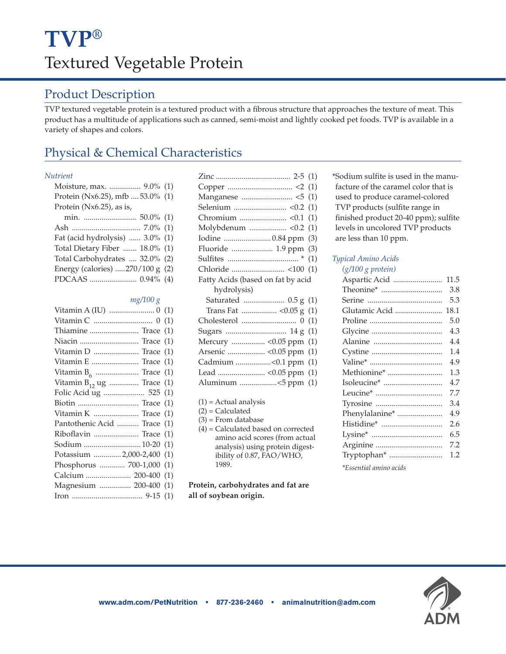### Product Description

TVP textured vegetable protein is a textured product with a fibrous structure that approaches the texture of meat. This product has a multitude of applications such as canned, semi-moist and lightly cooked pet foods. TVP is available in a variety of shapes and colors.

## Physical & Chemical Characteristics

#### *Nutrient*

| Moisture, max.  9.0% (1)         |  |
|----------------------------------|--|
| Protein (Nx6.25), mfb  53.0% (1) |  |
| Protein $(Nx6.25)$ , as is,      |  |
|                                  |  |
|                                  |  |
| Fat (acid hydrolysis)  3.0% (1)  |  |
| Total Dietary Fiber  18.0% (1)   |  |
| Total Carbohydrates  32.0% (2)   |  |
| Energy (calories) 270/100 g (2)  |  |
|                                  |  |

#### *mg/100 g*

| Thiamine  Trace (1)            |  |
|--------------------------------|--|
| Niacin  Trace (1)              |  |
| Vitamin D  Trace (1)           |  |
| Vitamin E  Trace (1)           |  |
|                                |  |
| Vitamin $B_{12}$ ug  Trace (1) |  |
| Folic Acid ug  525 (1)         |  |
|                                |  |
| Vitamin K  Trace (1)           |  |
| Pantothenic Acid  Trace (1)    |  |
| Riboflavin  Trace (1)          |  |
| Sodium  10-20 (1)              |  |
| Potassium  2,000-2,400 (1)     |  |
| Phosphorus  700-1,000 (1)      |  |
| Calcium  200-400 (1)           |  |
| Magnesium  200-400 (1)         |  |
|                                |  |

|                                   | (1) |
|-----------------------------------|-----|
|                                   |     |
|                                   |     |
| Fluoride  1.9 ppm (3)             |     |
|                                   | (1) |
|                                   |     |
| Fatty Acids (based on fat by acid |     |
|                                   |     |
| hydrolysis)                       |     |
| Saturated  0.5 g (1)              |     |
|                                   |     |
|                                   | (1) |
| Sugars  14 g                      | (1) |
|                                   | (1) |
|                                   | (1) |
| Cadmium <0.1 ppm                  | (1) |
|                                   | (1) |
| Aluminum <5 ppm                   | (1) |

- $(1)$  = Actual analysis
- $(2)$  = Calculated
- $(3)$  = From database
- (4) = Calculated based on corrected amino acid scores (from actual analysis) using protein digestibility of 0.87, FAO/WHO, 1989.

**Protein, carbohydrates and fat are all of soybean origin.**

\*Sodium sulfite is used in the manufacture of the caramel color that is used to produce caramel-colored TVP products (sulfite range in finished product 20-40 ppm); sulfite levels in uncolored TVP products are less than 10 ppm.

### *Typical Amino Acids (g/100 g protein)*

| Aspartic Acid  | 11.5 |
|----------------|------|
|                | 3.8  |
|                | 5.3  |
| Glutamic Acid  | 18.1 |
|                | 5.0  |
|                | 4.3  |
|                | 4.4  |
|                | 1.4  |
|                | 4.9  |
| Methionine*    | 1.3  |
|                | 4.7  |
|                | 7.7  |
|                | 3.4  |
| Phenylalanine* | 4.9  |
| Histidine*     | 2.6  |
|                | 6.5  |
|                | 7.2  |
| Tryptophan*    | 1.2  |
|                |      |

*\*Essential amino acids*